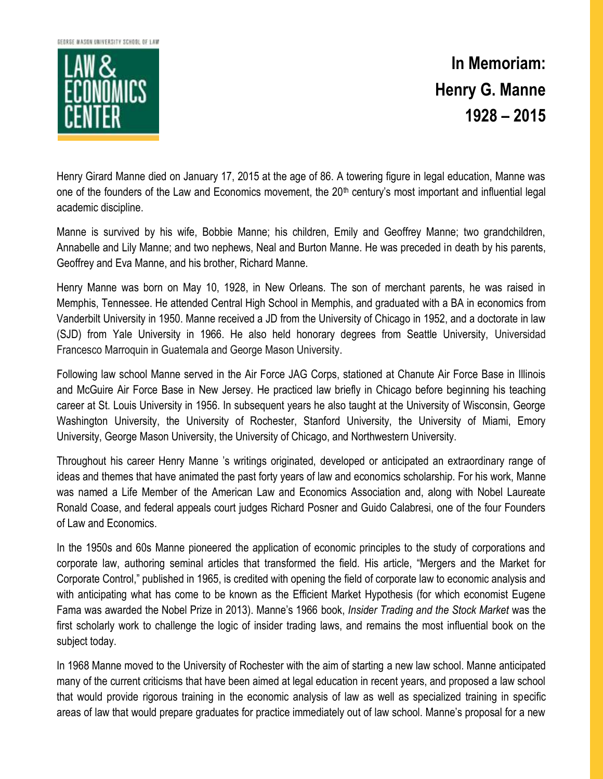GEORGE MASON UNIVERSITY SCHOOL OF LAW



**In Memoriam: Henry G. Manne 1928 – 2015**

Henry Girard Manne died on January 17, 2015 at the age of 86. A towering figure in legal education, Manne was one of the founders of the Law and Economics movement, the 20<sup>th</sup> century's most important and influential legal academic discipline.

Manne is survived by his wife, Bobbie Manne; his children, Emily and Geoffrey Manne; two grandchildren, Annabelle and Lily Manne; and two nephews, Neal and Burton Manne. He was preceded in death by his parents, Geoffrey and Eva Manne, and his brother, Richard Manne.

Henry Manne was born on May 10, 1928, in New Orleans. The son of merchant parents, he was raised in Memphis, Tennessee. He attended Central High School in Memphis, and graduated with a BA in economics from Vanderbilt University in 1950. Manne received a JD from the University of Chicago in 1952, and a doctorate in law (SJD) from Yale University in 1966. He also held honorary degrees from Seattle University, Universidad Francesco Marroquin in Guatemala and George Mason University.

Following law school Manne served in the Air Force JAG Corps, stationed at Chanute Air Force Base in Illinois and McGuire Air Force Base in New Jersey. He practiced law briefly in Chicago before beginning his teaching career at St. Louis University in 1956. In subsequent years he also taught at the University of Wisconsin, George Washington University, the University of Rochester, Stanford University, the University of Miami, Emory University, George Mason University, the University of Chicago, and Northwestern University.

Throughout his career Henry Manne 's writings originated, developed or anticipated an extraordinary range of ideas and themes that have animated the past forty years of law and economics scholarship. For his work, Manne was named a Life Member of the American Law and Economics Association and, along with Nobel Laureate Ronald Coase, and federal appeals court judges Richard Posner and Guido Calabresi, one of the four Founders of Law and Economics.

In the 1950s and 60s Manne pioneered the application of economic principles to the study of corporations and corporate law, authoring seminal articles that transformed the field. His article, "Mergers and the Market for Corporate Control," published in 1965, is credited with opening the field of corporate law to economic analysis and with anticipating what has come to be known as the Efficient Market Hypothesis (for which economist Eugene Fama was awarded the Nobel Prize in 2013). Manne's 1966 book, *Insider Trading and the Stock Market* was the first scholarly work to challenge the logic of insider trading laws, and remains the most influential book on the subject today.

In 1968 Manne moved to the University of Rochester with the aim of starting a new law school. Manne anticipated many of the current criticisms that have been aimed at legal education in recent years, and proposed a law school that would provide rigorous training in the economic analysis of law as well as specialized training in specific areas of law that would prepare graduates for practice immediately out of law school. Manne's proposal for a new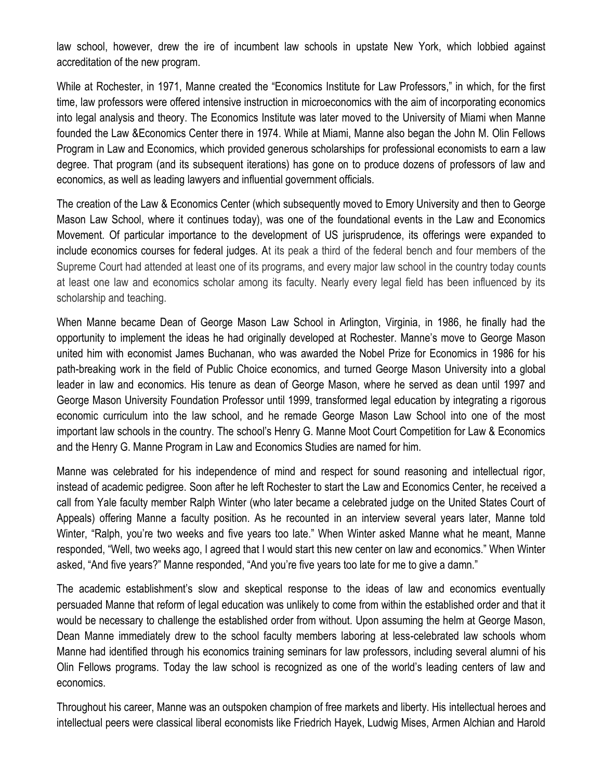law school, however, drew the ire of incumbent law schools in upstate New York, which lobbied against accreditation of the new program.

While at Rochester, in 1971, Manne created the "Economics Institute for Law Professors," in which, for the first time, law professors were offered intensive instruction in microeconomics with the aim of incorporating economics into legal analysis and theory. The Economics Institute was later moved to the University of Miami when Manne founded the Law &Economics Center there in 1974. While at Miami, Manne also began the John M. Olin Fellows Program in Law and Economics, which provided generous scholarships for professional economists to earn a law degree. That program (and its subsequent iterations) has gone on to produce dozens of professors of law and economics, as well as leading lawyers and influential government officials.

The creation of the Law & Economics Center (which subsequently moved to Emory University and then to George Mason Law School, where it continues today), was one of the foundational events in the Law and Economics Movement. Of particular importance to the development of US jurisprudence, its offerings were expanded to include economics courses for federal judges. At its peak a third of the federal bench and four members of the Supreme Court had attended at least one of its programs, and every major law school in the country today counts at least one law and economics scholar among its faculty. Nearly every legal field has been influenced by its scholarship and teaching.

When Manne became Dean of George Mason Law School in Arlington, Virginia, in 1986, he finally had the opportunity to implement the ideas he had originally developed at Rochester. Manne's move to George Mason united him with economist James Buchanan, who was awarded the Nobel Prize for Economics in 1986 for his path-breaking work in the field of Public Choice economics, and turned George Mason University into a global leader in law and economics. His tenure as dean of George Mason, where he served as dean until 1997 and George Mason University Foundation Professor until 1999, transformed legal education by integrating a rigorous economic curriculum into the law school, and he remade George Mason Law School into one of the most important law schools in the country. The school's Henry G. Manne Moot Court Competition for Law & Economics and the Henry G. Manne Program in Law and Economics Studies are named for him.

Manne was celebrated for his independence of mind and respect for sound reasoning and intellectual rigor, instead of academic pedigree. Soon after he left Rochester to start the Law and Economics Center, he received a call from Yale faculty member Ralph Winter (who later became a celebrated judge on the United States Court of Appeals) offering Manne a faculty position. As he recounted in an interview several years later, Manne told Winter, "Ralph, you're two weeks and five years too late." When Winter asked Manne what he meant, Manne responded, "Well, two weeks ago, I agreed that I would start this new center on law and economics." When Winter asked, "And five years?" Manne responded, "And you're five years too late for me to give a damn."

The academic establishment's slow and skeptical response to the ideas of law and economics eventually persuaded Manne that reform of legal education was unlikely to come from within the established order and that it would be necessary to challenge the established order from without. Upon assuming the helm at George Mason, Dean Manne immediately drew to the school faculty members laboring at less-celebrated law schools whom Manne had identified through his economics training seminars for law professors, including several alumni of his Olin Fellows programs. Today the law school is recognized as one of the world's leading centers of law and economics.

Throughout his career, Manne was an outspoken champion of free markets and liberty. His intellectual heroes and intellectual peers were classical liberal economists like Friedrich Hayek, Ludwig Mises, Armen Alchian and Harold